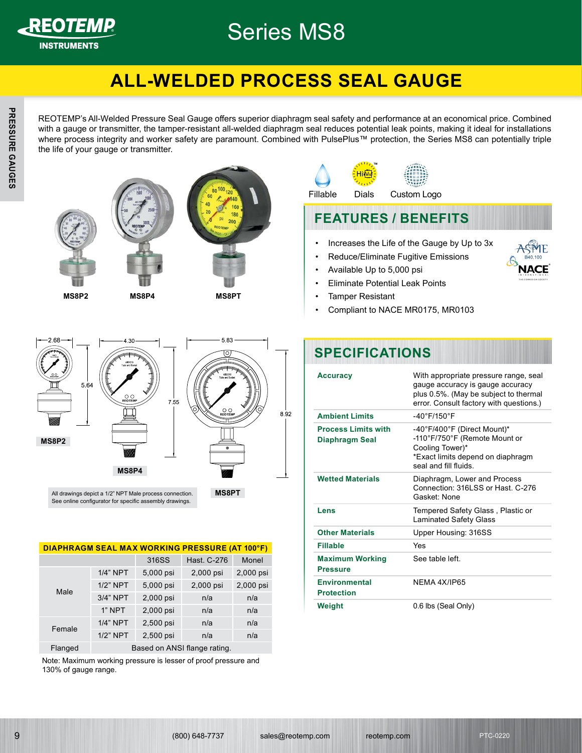

## Series MS8

#### REO*TEMP***® ALL-WELDED PROCESS SEAL GAUGE**

the life of your gauge or transmitter. with a gauge or transmitter, the tamper-resistant all-welded diaphragm seal reduces potential leak points, making it ideal for installations<br>where process integrity and worker safety are paramount. Combined with PulsePlus .<br>REOTEMP's All-Welded Pressure Seal Gauge offers superior diaphragm seal safety and performance at an economical price. Combined with a gauge or transmitter, the tamper-resistant all-welded diaphragm seal reduces potential leak points, making it ideal for installations







• Increases the Life of the Gauge by Up to 3x • Reduce/Eliminate Fugitive Emissions • Available Up to 5,000 psi **FEATURES / BENEFITS** Fillable Dials Custom Logo **™**

- Eliminate Potential Leak Points
- Tamper Resistant
- Compliant to NACE MR0175, MR0103



All drawings depict a 1/2" NPT Male process connection. See online configurator for specific assembly drawings.

#### **DIAPHRAGM SEAL MAX WORKING PRESSURE (AT 100°F)**

|         |             | 316SS     | Hast. C-276                  | Monel     |
|---------|-------------|-----------|------------------------------|-----------|
|         | $1/4$ " NPT | 5,000 psi | 2,000 psi                    | 2,000 psi |
| Male    | $1/2$ " NPT | 5,000 psi | 2,000 psi                    | 2,000 psi |
|         | 3/4" NPT    | 2,000 psi | n/a                          | n/a       |
|         | 1" NPT      | 2,000 psi | n/a                          | n/a       |
|         | $1/4$ " NPT | 2,500 psi | n/a                          | n/a       |
| Female  | $1/2$ " NPT | 2,500 psi | n/a                          | n/a       |
| Flanged |             |           | Based on ANSI flange rating. |           |

Note: Maximum working pressure is lesser of proof pressure and 130% of gauge range.

### **SPECIFICATIONS**

| <b>Accuracy</b>                              | With appropriate pressure range, seal<br>gauge accuracy is gauge accuracy<br>plus 0.5%. (May be subject to thermal<br>error. Consult factory with questions.) |
|----------------------------------------------|---------------------------------------------------------------------------------------------------------------------------------------------------------------|
| <b>Ambient Limits</b>                        | $-40^{\circ}$ F/150 $^{\circ}$ F                                                                                                                              |
| <b>Process Limits with</b><br>Diaphragm Seal | -40°F/400°F (Direct Mount)*<br>-110°F/750°F (Remote Mount or<br>Cooling Tower)*<br>*Exact limits depend on diaphragm<br>seal and fill fluids                  |
| <b>Wetted Materials</b>                      | Diaphragm, Lower and Process<br>Connection: 316LSS or Hast. C-276<br>Gasket None                                                                              |
| Lens                                         | Tempered Safety Glass, Plastic or<br><b>Laminated Safety Glass</b>                                                                                            |
| <b>Other Materials</b>                       | Upper Housing: 316SS                                                                                                                                          |
| Fillable                                     | Yes                                                                                                                                                           |
| <b>Maximum Working</b><br><b>Pressure</b>    | See table left                                                                                                                                                |
| <b>Environmental</b><br><b>Protection</b>    | NFMA 4X/IP65                                                                                                                                                  |
| Weight                                       | 0.6 lbs (Seal Only)                                                                                                                                           |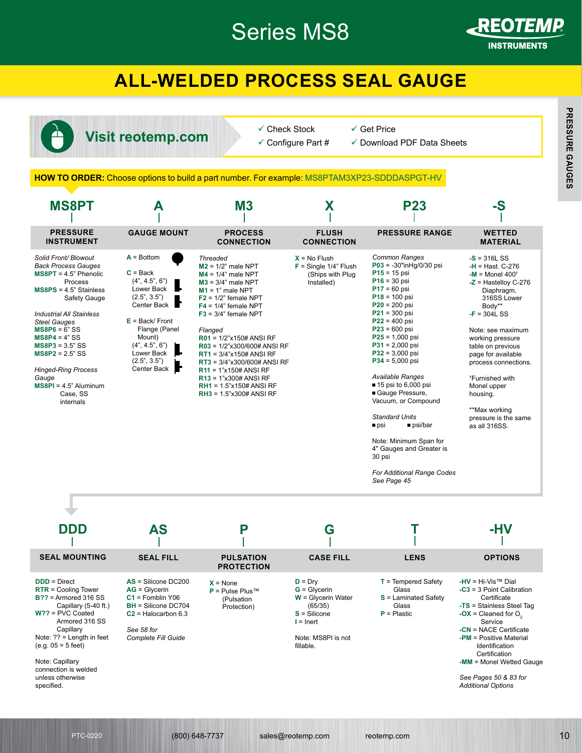## Series MS8



REO*TEMP***®**

REO*TEMP***®** <u>Instruments</u>

### **ALL-WELDED PROCESS SEAL GAUGE**



- $\checkmark$  Check Stock  $\checkmark$  Configure Part #
- -

#### **HOW TO ORDER:** Choose options to build a part number. For example: MS8PTAM3XP23-SDDDASPGT-HV

|                                                                                                                                                                                                                                                                                                                                                                           |                                                                                                                                                                                                         |                                                                                                                                                                                                                                                                                                                                                                                                                                                        |                                                                                                                                    | <b>HOW TO ORDER:</b> Choose options to build a part number. For example: MS8PTAM3XP23-SDDDASPGT-HV                                                                                                                                                                                                                                                                                                                                                                                                                                                   |                                                                                                                                                                                                                                                                                                                                                                                          |
|---------------------------------------------------------------------------------------------------------------------------------------------------------------------------------------------------------------------------------------------------------------------------------------------------------------------------------------------------------------------------|---------------------------------------------------------------------------------------------------------------------------------------------------------------------------------------------------------|--------------------------------------------------------------------------------------------------------------------------------------------------------------------------------------------------------------------------------------------------------------------------------------------------------------------------------------------------------------------------------------------------------------------------------------------------------|------------------------------------------------------------------------------------------------------------------------------------|------------------------------------------------------------------------------------------------------------------------------------------------------------------------------------------------------------------------------------------------------------------------------------------------------------------------------------------------------------------------------------------------------------------------------------------------------------------------------------------------------------------------------------------------------|------------------------------------------------------------------------------------------------------------------------------------------------------------------------------------------------------------------------------------------------------------------------------------------------------------------------------------------------------------------------------------------|
| <b>MS8PT</b>                                                                                                                                                                                                                                                                                                                                                              | A                                                                                                                                                                                                       | M <sub>3</sub>                                                                                                                                                                                                                                                                                                                                                                                                                                         | X                                                                                                                                  | <b>P23</b>                                                                                                                                                                                                                                                                                                                                                                                                                                                                                                                                           | -S                                                                                                                                                                                                                                                                                                                                                                                       |
| <b>PRESSURE</b><br><b>INSTRUMENT</b>                                                                                                                                                                                                                                                                                                                                      | <b>GAUGE MOUNT</b>                                                                                                                                                                                      | <b>PROCESS</b><br><b>CONNECTION</b>                                                                                                                                                                                                                                                                                                                                                                                                                    | <b>FLUSH</b><br><b>CONNECTION</b>                                                                                                  | <b>PRESSURE RANGE</b>                                                                                                                                                                                                                                                                                                                                                                                                                                                                                                                                | <b>WETTED</b><br><b>MATERIAL</b>                                                                                                                                                                                                                                                                                                                                                         |
| Solid Front/ Blowout<br><b>Back Process Gauges</b><br>$MSBPT = 4.5" Phenolic$<br>Process<br>$MSBPS = 4.5"$ Stainless<br>Safety Gauge<br><b>Industrial All Stainless</b><br><b>Steel Gauges</b><br>$MS8P6 = 6" SS$<br>$MS8P4 = 4" SS$<br>$MS8P3 = 3.5" SS$<br>$MS8P2 = 2.5" SS$<br><b>Hinged-Ring Process</b><br>Gauge<br>$MS8PI = 4.5"$ Aluminum<br>Case, SS<br>internals | $A = Bottom$<br>$C = Back$<br>(4", 4.5", 6")<br>Lower Back<br>(2.5", 3.5")<br>Center Back<br>$E = Back/Front$<br>Flange (Panel<br>Mount)<br>(4", 4.5", 6")<br>Lower Back<br>(2.5", 3.5")<br>Center Back | <b>Threaded</b><br>$M2 = 1/2$ " male NPT<br>$M4 = 1/4"$ male NPT<br>$M3 = 3/4"$ male NPT<br>$M1 = 1$ " male NPT<br>$F2 = 1/2$ " female NPT<br>$F4 = 1/4$ " female NPT<br>$F3 = 3/4$ " female NPT<br>Flanged<br>$R01 = 1/2"x150#ANSI RF$<br>R03 = 1/2"x300/600# ANSI RF<br>$RT1 = 3/4$ "x150# ANSI RF<br>$RT3 = 3/4"x300/600#$ ANSI RF<br>$R11 = 1"x150# ANSI RF$<br>$R13 = 1"x300# ANSI RF$<br>$RH1 = 1.5$ "x150# ANSI RF<br>$RH3 = 1.5"x300# ANSI RF$ | $X = No$ Flush<br>$F =$ Single 1/4" Flush<br>(Ships with Plug<br>Installed)                                                        | <b>Common Ranges</b><br>$P03 = -30" in Hg/0/30$ psi<br>$P15 = 15$ psi<br>$P16 = 30$ psi<br>$P17 = 60$ psi<br>$P18 = 100$ psi<br>$P20 = 200$ psi<br>$P21 = 300$ psi<br>$P22 = 400$ psi<br>$P23 = 600$ psi<br>$P25 = 1,000$ psi<br>$P31 = 2,000$ psi<br>$P32 = 3,000$ psi<br>$P34 = 5,000$ psi<br><b>Available Ranges</b><br>■ 15 psi to 6,000 psi<br>Gauge Pressure,<br>Vacuum, or Compound<br><b>Standard Units</b><br>psi/bar<br>■ psi<br>Note: Minimum Span for<br>4" Gauges and Greater is<br>30 psi<br>For Additional Range Codes<br>See Page 45 | $-S = 316L SS$<br>$-H =$ Hast, C-276<br>$-M =$ Monel 400 <sup>+</sup><br>$-Z =$ Hastelloy C-276<br>Diaphragm,<br>316SS Lower<br>Body**<br>$-F = 304L$ SS<br>Note: see maximum<br>working pressure<br>table on previous<br>page for available<br>process connections.<br><sup>†</sup> Furnished with<br>Monel upper<br>housing.<br>**Max working<br>pressure is the same<br>as all 316SS. |
| DDD                                                                                                                                                                                                                                                                                                                                                                       | AS                                                                                                                                                                                                      | P                                                                                                                                                                                                                                                                                                                                                                                                                                                      | G                                                                                                                                  |                                                                                                                                                                                                                                                                                                                                                                                                                                                                                                                                                      | -HV                                                                                                                                                                                                                                                                                                                                                                                      |
|                                                                                                                                                                                                                                                                                                                                                                           |                                                                                                                                                                                                         |                                                                                                                                                                                                                                                                                                                                                                                                                                                        |                                                                                                                                    |                                                                                                                                                                                                                                                                                                                                                                                                                                                                                                                                                      |                                                                                                                                                                                                                                                                                                                                                                                          |
| <b>SEAL MOUNTING</b>                                                                                                                                                                                                                                                                                                                                                      | <b>SEAL FILL</b>                                                                                                                                                                                        | <b>PULSATION</b><br><b>PROTECTION</b>                                                                                                                                                                                                                                                                                                                                                                                                                  | <b>CASE FILL</b>                                                                                                                   | <b>LENS</b>                                                                                                                                                                                                                                                                                                                                                                                                                                                                                                                                          | <b>OPTIONS</b>                                                                                                                                                                                                                                                                                                                                                                           |
| $DD = Direct$<br>$RTR =$ Cooling Tower<br>$B$ ?? = Armored 316 SS<br>Capillary (5-40 ft.)<br>$W$ ?? = PVC Coated<br>Armored 316 SS<br>Capillary<br>Note: $?? =$ Length in feet<br>$(e.g. 05 = 5 feet)$<br>Note: Capillary<br>connection is welded<br>unless otherwise<br>specified.                                                                                       | $AS = Silicone DC200$<br>$AG = Glycerin$<br>$C1$ = Fomblin Y06<br><b>BH</b> = Silicone DC704<br>$C2$ = Halocarbon 6.3<br>See 58 for<br><b>Complete Fill Guide</b>                                       | $X = None$<br>$P =$ Pulse Plus™<br>(Pulsation<br>Protection)                                                                                                                                                                                                                                                                                                                                                                                           | $D = DrV$<br>$G = G ycerin$<br>$W =$ Glycerin Water<br>(65/35)<br>$S = Silicone$<br>$I =$ Inert<br>Note: MS8PI is not<br>fillable. | $T =$ Tempered Safety<br>Glass<br>$S =$ Laminated Safety<br>Glass<br>$P =$ Plastic                                                                                                                                                                                                                                                                                                                                                                                                                                                                   | -HV = $Hi-VisTM$ Dial<br>$-C3 = 3$ Point Calibration<br>Certificate<br>-TS = Stainless Steel Tag<br>-OX = Cleaned for $O_2$<br>Service<br>$-CN = NACE$ Certificate<br>-PM = Positive Material<br>Identification<br>Certification<br>-MM = Monel Wetted Gauge<br>See Pages 50 & 83 for<br><b>Additional Options</b>                                                                       |

- **S** = Laminated Safety Glass
- **P** = Plastic
- **-OX** = Cleaned for  $O_2$ Service **-CN** = NACE Certificate **-PM** = Positive Material Identification **Certification**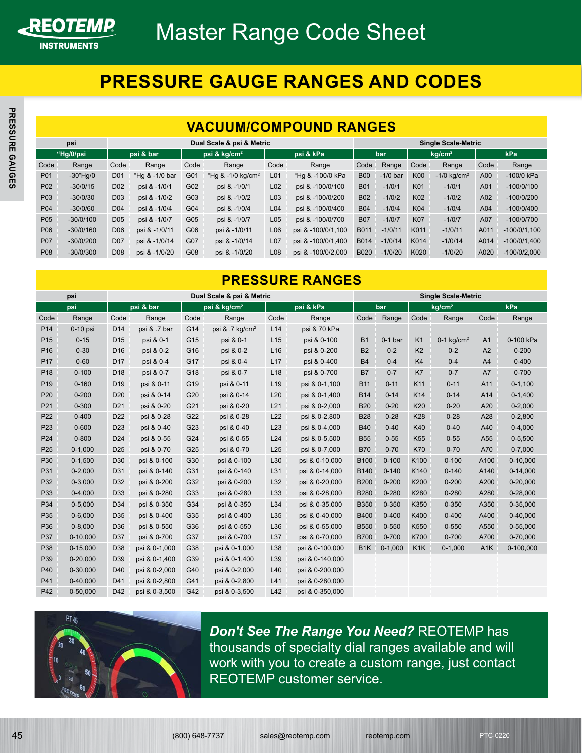

#### REO*TEMP***® PRESSURE GAUGE RANGES AND CODES**

#### <span id="page-2-0"></span>**VACUUM/COMPOUND RANGES**

|                 |             |                 |                |      |                                |                 | <u>VACUUM/COMPOUND KANGES</u> |             |            |            |                            |      |                |
|-----------------|-------------|-----------------|----------------|------|--------------------------------|-----------------|-------------------------------|-------------|------------|------------|----------------------------|------|----------------|
|                 | psi         |                 |                |      | Dual Scale & psi & Metric      |                 |                               |             |            |            | <b>Single Scale-Metric</b> |      |                |
|                 | "Hg/0/psi   |                 | psi & bar      |      | psi & kg/cm <sup>2</sup>       |                 | psi & kPa                     |             | bar        |            | kq/cm <sup>2</sup>         |      | kPa            |
| Code            | Range       | Code            | Range          | Code | Range                          | Code            | Range                         | Code        | Range      | Code       | Range                      | Code | Range          |
| P01             | $-30"$ Hg/0 | D <sub>01</sub> | "Hg & -1/0 bar | G01  | "Hg $& 1/0$ kg/cm <sup>2</sup> | L <sub>01</sub> | "Hg & -100/0 kPa              | <b>B00</b>  | $-1/0$ bar | <b>K00</b> | $-1/0$ ka/cm <sup>2</sup>  | A00  | -100/0 kPa     |
| P <sub>02</sub> | $-30/0/15$  | D <sub>02</sub> | psi & -1/0/1   | G02  | psi & -1/0/1                   | L02             | psi & -100/0/100              | <b>B01</b>  | $-1/0/1$   | K01        | $-1/0/1$                   | A01  | $-100/0/100$   |
| P03             | $-30/0/30$  | D <sub>03</sub> | psi & -1/0/2   | G03  | psi & -1/0/2                   | L03             | psi & -100/0/200              | <b>B02</b>  | $-1/0/2$   | K02        | $-1/0/2$                   | A02  | $-100/0/200$   |
| P04             | $-30/0/60$  | D <sub>04</sub> | psi & -1/0/4   | G04  | psi & -1/0/4                   | L <sub>04</sub> | psi & -100/0/400              | <b>B04</b>  | $-1/0/4$   | <b>K04</b> | $-1/0/4$                   | A04  | $-100/0/400$   |
| P05             | $-30/0/100$ | D <sub>05</sub> | psi & -1/0/7   | G05  | psi & -1/0/7                   | L05             | psi & -100/0/700              | <b>B07</b>  | $-1/0/7$   | <b>K07</b> | $-1/0/7$                   | A07  | $-100/0/700$   |
| P06             | $-30/0/160$ | D <sub>06</sub> | psi & -1/0/11  | G06  | psi & -1/0/11                  | L06             | psi & -100/0/1,100            | B011        | $-1/0/11$  | K011       | $-1/0/11$                  | A011 | $-100/0/1.100$ |
| P07             | $-30/0/200$ | <b>D07</b>      | psi & -1/0/14  | G07  | psi & -1/0/14                  | L07             | psi & -100/0/1,400            | B014        | $-1/0/14$  | K014       | $-1/0/14$                  | A014 | $-100/0/1,400$ |
| P <sub>08</sub> | $-30/0/300$ | D <sub>08</sub> | psi & -1/0/20  | G08  | psi & -1/0/20                  | L <sub>08</sub> | psi & -100/0/2,000            | <b>B020</b> | $-1/0/20$  | K020       | $-1/0/20$                  | A020 | $-100/0/2.000$ |

### **PRESSURE RANGES**

|                 | psi          |                 |                |      | Dual Scale & psi & Metric      |                 |                        |                  |            |                  | <b>Single Scale-Metric</b> |                  |                |
|-----------------|--------------|-----------------|----------------|------|--------------------------------|-----------------|------------------------|------------------|------------|------------------|----------------------------|------------------|----------------|
|                 | "Hg/0/psi    |                 | psi & bar      |      | psi & kg/cm <sup>2</sup>       |                 | psi & kPa              |                  | bar        |                  | kg/cm <sup>2</sup>         |                  | kPa            |
| Code            | Range        | Code            | Range          | Code | Range                          | Code            | Range                  | Code             | Range      | Code             | Range                      | Code             | Range          |
| P01             | $-30"$ Hg/0  | D <sub>01</sub> | "Hg & -1/0 bar | G01  | "Hg $& 1/0$ kg/cm <sup>2</sup> | L <sub>01</sub> | "Hg & -100/0 kPa       | <b>B00</b>       | $-1/0$ bar | K00              | $-1/0$ kg/cm <sup>2</sup>  | A00              | -100/0 kPa     |
| P02             | $-30/0/15$   | D <sub>02</sub> | psi & -1/0/1   | G02  | psi & -1/0/1                   | L <sub>02</sub> | psi & -100/0/100       | <b>B01</b>       | $-1/0/1$   | K01              | $-1/0/1$                   | A01              | $-100/0/100$   |
| P03             | $-30/0/30$   | D <sub>03</sub> | psi & -1/0/2   | G03  | psi & -1/0/2                   | L <sub>03</sub> | psi & -100/0/200       | <b>B02</b>       | $-1/0/2$   | K02              | $-1/0/2$                   | A02              | $-100/0/200$   |
| P04             | $-30/0/60$   | D <sub>04</sub> | psi & -1/0/4   | G04  | psi & -1/0/4                   | L <sub>04</sub> | psi & -100/0/400       | <b>B04</b>       | $-1/0/4$   | K04              | $-1/0/4$                   | A04              | $-100/0/400$   |
| P05             | $-30/0/100$  | D <sub>05</sub> | psi & -1/0/7   | G05  | psi & -1/0/7                   | L <sub>05</sub> | psi & -100/0/700       | <b>B07</b>       | $-1/0/7$   | <b>K07</b>       | $-1/0/7$                   | A07              | $-100/0/700$   |
| P06             | $-30/0/160$  | D <sub>06</sub> | psi & -1/0/11  | G06  | psi & -1/0/11                  | L06             | psi & -100/0/1,100     | B011             | $-1/0/11$  | K011             | $-1/0/11$                  | A011             | $-100/0/1,100$ |
| P07             | -30/0/200    | D <sub>07</sub> | psi & -1/0/14  | G07  | psi & -1/0/14                  | L <sub>07</sub> | psi & -100/0/1,400     | <b>B014</b>      | $-1/0/14$  | K014             | $-1/0/14$                  | A014             | $-100/0/1,400$ |
| P08             | $-30/0/300$  | D <sub>08</sub> | psi & -1/0/20  | G08  | psi & -1/0/20                  | L <sub>08</sub> | psi & -100/0/2,000     | <b>B020</b>      | $-1/0/20$  | K020             | $-1/0/20$                  | A020             | $-100/0/2,000$ |
|                 |              |                 |                |      |                                |                 | <b>PRESSURE RANGES</b> |                  |            |                  |                            |                  |                |
|                 | psi          |                 |                |      | Dual Scale & psi & Metric      |                 |                        |                  |            |                  | <b>Single Scale-Metric</b> |                  |                |
|                 | psi          |                 | psi & bar      |      | psi & kg/cm <sup>2</sup>       |                 | psi & kPa              |                  | bar        |                  | kg/cm <sup>2</sup>         |                  | kPa            |
| Code            | Range        | Code            | Range          | Code | Range                          | Code            | Range                  | Code             | Range      | Code             | Range                      | Code             | Range          |
| P <sub>14</sub> | $0-10$ psi   | D <sub>14</sub> | psi & .7 bar   | G14  | psi & .7 kg/cm <sup>2</sup>    | L14             | psi & 70 kPa           |                  |            |                  |                            |                  |                |
| P <sub>15</sub> | $0 - 15$     | D <sub>15</sub> | psi & 0-1      | G15  | psi & 0-1                      | L15             | psi & 0-100            | <b>B1</b>        | $0-1b$     | K <sub>1</sub>   | $0-1$ kg/cm <sup>2</sup>   | A <sub>1</sub>   | 0-100 kPa      |
| P <sub>16</sub> | $0 - 30$     | D16             | psi & 0-2      | G16  | psi & 0-2                      | L16             | psi & 0-200            | <b>B2</b>        | $0 - 2$    | K <sub>2</sub>   | $0 - 2$                    | A2               | $0 - 200$      |
| P <sub>17</sub> | $0 - 60$     | D17             | psi & 0-4      | G17  | psi & 0-4                      | L17             | psi & 0-400            | <b>B4</b>        | $0 - 4$    | K <sub>4</sub>   | $0 - 4$                    | A4               | $0 - 400$      |
| P <sub>18</sub> | $0 - 100$    | D <sub>18</sub> | psi & 0-7      | G18  | psi & 0-7                      | L <sub>18</sub> | psi & 0-700            | B7               | $0 - 7$    | K7               | $0 - 7$                    | A7               | $0 - 700$      |
| P <sub>19</sub> | $0 - 160$    | D <sub>19</sub> | psi & 0-11     | G19  | psi & 0-11                     | L <sub>19</sub> | psi & 0-1,100          | <b>B11</b>       | $0 - 11$   | K11              | $0 - 11$                   | A11              | $0 - 1,100$    |
| P <sub>20</sub> | $0 - 200$    | D <sub>20</sub> | psi & 0-14     | G20  | psi & 0-14                     | L20             | psi & 0-1,400          | <b>B14</b>       | $0 - 14$   | K14              | $0 - 14$                   | A14              | $0-1,400$      |
| P21             | $0 - 300$    | D <sub>21</sub> | psi & 0-20     | G21  | psi & 0-20                     | L21             | psi & 0-2,000          | <b>B20</b>       | $0 - 20$   | K20              | $0 - 20$                   | A20              | $0 - 2,000$    |
| P <sub>22</sub> | $0 - 400$    | D <sub>22</sub> | psi & 0-28     | G22  | psi & 0-28                     | L22             | psi & 0-2,800          | <b>B28</b>       | $0 - 28$   | K28              | $0 - 28$                   | A28              | $0 - 2,800$    |
| P <sub>23</sub> | $0 - 600$    | D <sub>23</sub> | psi & 0-40     | G23  | psi & 0-40                     | L23             | psi & 0-4,000          | <b>B40</b>       | $0 - 40$   | K40              | $0 - 40$                   | A40              | $0 - 4,000$    |
| P <sub>24</sub> | $0 - 800$    | D24             | psi & 0-55     | G24  | psi & 0-55                     | L24             | psi & 0-5,500          | <b>B55</b>       | $0 - 55$   | K <sub>55</sub>  | $0 - 55$                   | A55              | $0 - 5,500$    |
| P <sub>25</sub> | $0-1,000$    | D <sub>25</sub> | psi & 0-70     | G25  | psi & 0-70                     | L25             | psi & 0-7,000          | <b>B70</b>       | $0 - 70$   | <b>K70</b>       | $0 - 70$                   | A70              | $0 - 7,000$    |
| P30             | $0-1,500$    | D30             | psi & 0-100    | G30  | psi & 0-100                    | L30             | psi & 0-10,000         | <b>B100</b>      | $0 - 100$  | K100             | $0 - 100$                  | A100             | 0-10,000       |
| P31             | $0 - 2,000$  | D31             | psi & 0-140    | G31  | psi & 0-140                    | L31             | psi & 0-14,000         | <b>B140</b>      | $0 - 140$  | K140             | $0 - 140$                  | A140             | $0-14,000$     |
| P32             | $0 - 3,000$  | D32             | psi & 0-200    | G32  | psi & 0-200                    | L32             | psi & 0-20,000         | <b>B200</b>      | $0 - 200$  | K200             | $0 - 200$                  | A200             | 0-20,000       |
| P33             | $0-4,000$    | D33             | psi & 0-280    | G33  | psi & 0-280                    | L33             | psi & 0-28,000         | <b>B280</b>      | $0 - 280$  | K280             | $0 - 280$                  | A280             | 0-28,000       |
| P34             | $0 - 5,000$  | D34             | psi & 0-350    | G34  | psi & 0-350                    | L34             | psi & 0-35,000         | <b>B350</b>      | 0-350      | K350             | $0 - 350$                  | A350             | 0-35,000       |
| P35             | $0 - 6,000$  | D35             | psi & 0-400    | G35  | psi & 0-400                    | L35             | psi & 0-40,000         | <b>B400</b>      | $0 - 400$  | K400             | $0 - 400$                  | A400             | 0-40,000       |
| P36             | $0 - 8,000$  | D36             | psi & 0-550    | G36  | psi & 0-550                    | L36             | psi & 0-55,000         | <b>B550</b>      | $0 - 550$  | K550             | $0 - 550$                  | A550             | 0-55,000       |
| P37             | $0-10,000$   | D37             | psi & 0-700    | G37  | psi & 0-700                    | L37             | psi & 0-70,000         | <b>B700</b>      | $0 - 700$  | K700             | $0 - 700$                  | A700             | 0-70,000       |
| P38             | $0-15,000$   | D <sub>38</sub> | psi & 0-1,000  | G38  | psi & 0-1,000                  | L38             | psi & 0-100,000        | B <sub>1</sub> K | $0-1,000$  | K <sub>1</sub> K | $0-1,000$                  | A <sub>1</sub> K | 0-100,000      |
| P39             | $0 - 20,000$ | D39             | psi & 0-1,400  | G39  | psi & 0-1,400                  | L39             | psi & 0-140,000        |                  |            |                  |                            |                  |                |
| P40             | 0-30,000     | D40             | psi & 0-2,000  | G40  | psi & 0-2,000                  | L40             | psi & 0-200,000        |                  |            |                  |                            |                  |                |
| P41             | 0-40,000     | D41             | psi & 0-2,800  | G41  | psi & 0-2,800                  | L41             | psi & 0-280,000        |                  |            |                  |                            |                  |                |
| P42             | 0-50,000     | D42             | psi & 0-3,500  | G42  | psi & 0-3,500                  | L42             | psi & 0-350,000        |                  |            |                  |                            |                  |                |

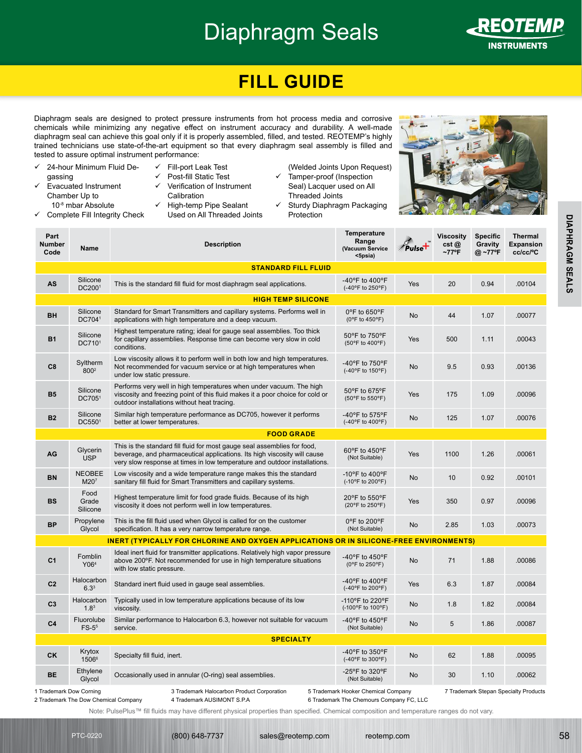# Diaphragm Seals



<span id="page-3-0"></span>REO*TEMP***®**

## **FILL GUIDE**

Diaphragm seals are designed to protect pressure instruments from hot process media and corrosive chemicals while minimizing any negative effect on instrument accuracy and durability. A well-made diaphragm seal can achieve this goal only if it is properly assembled, filled, and tested. REOTEMP's highly trained technicians use state-of-the-art equipment so that every diaphragm seal assembly is filled and tested to assure optimal instrument performance:

- $\checkmark$  24-hour Minimum Fluid Degassing  $\checkmark$  Evacuated Instrument Chamber Up to 10-8 mbar Absolute  $\checkmark$  Complete Fill Integrity Check  $\checkmark$  Fill-port Leak Test Post-fill Static Test 9 Verification of Instrument **Calibration**  $\checkmark$  High-temp Pipe Sealant Used on All Threaded Joints
	- (Welded Joints Upon Request)  $\checkmark$  Tamper-proof (Inspection Seal) Lacquer used on All
	- Threaded Joints  $\checkmark$  Sturdy Diaphragm Packaging Protection



| Part<br>Number<br>Code  | Name                              | <b>Description</b>                                                                                                                                                                                                                | <b>Temperature</b><br>Range<br>(Vacuum Service<br><5psia) | Pulset     | <b>Viscosity</b><br>cst@<br>$~177^{\circ}$ F | <b>Specific</b><br>Gravity<br>@ ~77°F | <b>Thermal</b><br><b>Expansion</b><br>cc/cc/°C |
|-------------------------|-----------------------------------|-----------------------------------------------------------------------------------------------------------------------------------------------------------------------------------------------------------------------------------|-----------------------------------------------------------|------------|----------------------------------------------|---------------------------------------|------------------------------------------------|
|                         |                                   | <b>STANDARD FILL FLUID</b>                                                                                                                                                                                                        |                                                           |            |                                              |                                       |                                                |
| AS                      | Silicone<br>DC2001                | This is the standard fill fluid for most diaphragm seal applications.                                                                                                                                                             | -40 $\degree$ F to 400 $\degree$ F<br>(-40°F to 250°F)    | Yes        | 20                                           | 0.94                                  | .00104                                         |
|                         |                                   | <b>HIGH TEMP SILICONE</b>                                                                                                                                                                                                         |                                                           |            |                                              |                                       |                                                |
| BH                      | Silicone<br>DC7041                | Standard for Smart Transmitters and capillary systems. Performs well in<br>applications with high temperature and a deep vacuum.                                                                                                  | 0°F to 650°F<br>(0°F to 450°F)                            | No         | 44                                           | 1.07                                  | .00077                                         |
| <b>B1</b>               | Silicone<br>DC7101                | Highest temperature rating; ideal for gauge seal assemblies. Too thick<br>for capillary assemblies. Response time can become very slow in cold<br>conditions.                                                                     | 50°F to 750°F<br>(50°F to 400°F)                          | Yes        | 500                                          | 1.11                                  | .00043                                         |
| C8                      | Syltherm<br>800 <sup>2</sup>      | Low viscosity allows it to perform well in both low and high temperatures.<br>Not recommended for vacuum service or at high temperatures when<br>under low static pressure.                                                       | -40°F to 750°F<br>(-40°F to 150°F)                        | <b>No</b>  | 9.5                                          | 0.93                                  | .00136                                         |
| <b>B5</b>               | Silicone<br>DC7051                | Performs very well in high temperatures when under vacuum. The high<br>viscosity and freezing point of this fluid makes it a poor choice for cold or<br>outdoor installations without heat tracing.                               | 50°F to 675°F<br>(50°F to 550°F)                          | <b>Yes</b> | 175                                          | 1.09                                  | .00096                                         |
| <b>B2</b>               | Silicone<br>DC5501                | Similar high temperature performance as DC705, however it performs<br>better at lower temperatures.                                                                                                                               | -40 $\degree$ F to 575 $\degree$ F<br>(-40°F to 400°F)    | No         | 125                                          | 1.07                                  | .00076                                         |
|                         |                                   | <b>FOOD GRADE</b>                                                                                                                                                                                                                 |                                                           |            |                                              |                                       |                                                |
| AG                      | Glycerin<br><b>USP</b>            | This is the standard fill fluid for most gauge seal assemblies for food,<br>beverage, and pharmaceutical applications. Its high viscosity will cause<br>very slow response at times in low temperature and outdoor installations. | 60°F to 450°F<br>(Not Suitable)                           | <b>Yes</b> | 1100                                         | 1.26                                  | .00061                                         |
| <b>BN</b>               | <b>NEOBEE</b><br>M20 <sup>7</sup> | Low viscosity and a wide temperature range makes this the standard<br>sanitary fill fluid for Smart Transmitters and capillary systems.                                                                                           | -10°F to 400°F<br>(-10°F to 200°F)                        | No         | 10                                           | 0.92                                  | .00101                                         |
| <b>BS</b>               | Food<br>Grade<br>Silicone         | Highest temperature limit for food grade fluids. Because of its high<br>viscosity it does not perform well in low temperatures.                                                                                                   | 20°F to 550°F<br>(20°F to 250°F)                          | <b>Yes</b> | 350                                          | 0.97                                  | .00096                                         |
| <b>BP</b>               | Propylene<br>Glycol               | This is the fill fluid used when Glycol is called for on the customer<br>specification. It has a very narrow temperature range.                                                                                                   | 0°F to 200°F<br>(Not Suitable)                            | No         | 2.85                                         | 1.03                                  | .00073                                         |
|                         |                                   | <b>INERT (TYPICALLY FOR CHLORINE AND OXYGEN APPLICATIONS OR IN SILICONE-FREE ENVIRONMENTS)</b>                                                                                                                                    |                                                           |            |                                              |                                       |                                                |
| C <sub>1</sub>          | Fomblin<br>Y06 <sup>4</sup>       | Ideal inert fluid for transmitter applications. Relatively high vapor pressure<br>above 200°F. Not recommended for use in high temperature situations<br>with low static pressure.                                                | -40 $\degree$ F to 450 $\degree$ F<br>(0°F to 250°F)      | No         | 71                                           | 1.88                                  | .00086                                         |
| C <sub>2</sub>          | Halocarbon<br>6.3 <sup>3</sup>    | Standard inert fluid used in gauge seal assemblies.                                                                                                                                                                               | -40 $\degree$ F to 400 $\degree$ F<br>(-40°F to 200°F)    | Yes        | 6.3                                          | 1.87                                  | .00084                                         |
| C <sub>3</sub>          | Halocarbon<br>1.8 <sup>3</sup>    | Typically used in low temperature applications because of its low<br>viscosity.                                                                                                                                                   | -110°F to 220°F<br>(-100°F to 100°F)                      | No         | 1.8                                          | 1.82                                  | .00084                                         |
| C <sub>4</sub>          | Fluorolube<br>$FS-55$             | Similar performance to Halocarbon 6.3, however not suitable for vacuum<br>service.                                                                                                                                                | -40°F to 450°F<br>(Not Suitable)                          | <b>No</b>  | 5                                            | 1.86                                  | .00087                                         |
|                         |                                   | <b>SPECIALTY</b>                                                                                                                                                                                                                  |                                                           |            |                                              |                                       |                                                |
| <b>CK</b>               | Krytox<br>15066                   | Specialty fill fluid, inert.                                                                                                                                                                                                      | -40°F to 350°F<br>(-40°F to 300°F)                        | <b>No</b>  | 62                                           | 1.88                                  | .00095                                         |
| BE                      | Ethylene<br>Glycol                | Occasionally used in annular (O-ring) seal assemblies.                                                                                                                                                                            | -25°F to 320°F<br>(Not Suitable)                          | No         | 30                                           | 1.10                                  | .00062                                         |
| 1 Trademark Dow Corning |                                   | 3 Trademark Halocarbon Product Corporation                                                                                                                                                                                        | 5 Trademark Hooker Chemical Company                       |            |                                              |                                       | 7 Trademark Stepan Specialty Products          |

7 Trademark Stepan Specialty Products

2 Trademark The Dow Chemical Company

4 Trademark AUSIMONT S.P.A

6 Trademark The Chemours Company FC, LLC

Note: PulsePlus™ fill fluids may have different physical properties than specified. Chemical composition and temperature ranges do not vary.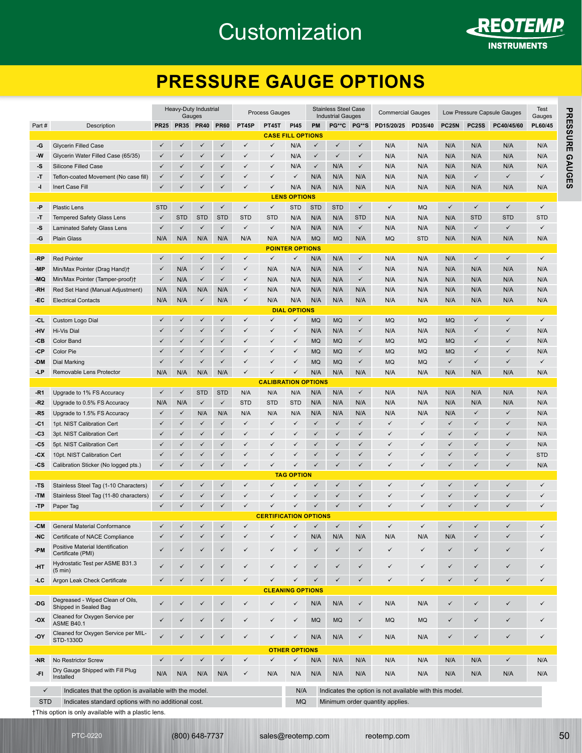## <span id="page-4-0"></span>**Customization**



REO*TEMP***®**

### **PRESSURE GAUGE OPTIONS**

| Part#<br>-G<br>-W<br>۰S<br>-T | Description                                                                                                |                              | Gauges            |                              |                              |                   |                              |                                   |                              | <b>Industrial Gauges</b>     |                              |                                                        |                              |                              |                   |                              | Test<br>Gauges |
|-------------------------------|------------------------------------------------------------------------------------------------------------|------------------------------|-------------------|------------------------------|------------------------------|-------------------|------------------------------|-----------------------------------|------------------------------|------------------------------|------------------------------|--------------------------------------------------------|------------------------------|------------------------------|-------------------|------------------------------|----------------|
|                               |                                                                                                            |                              |                   | PR25 PR35 PR40               | <b>PR60</b>                  | <b>PT45P</b>      | <b>PT45T</b>                 | <b>PI45</b>                       | PM                           |                              | PG**C PG**S                  | PD15/20/25                                             | PD35/40                      | <b>PC25N</b>                 | <b>PC25S</b>      | PC40/45/60                   | PL60/45        |
|                               |                                                                                                            |                              |                   |                              |                              |                   | <b>CASE FILL OPTIONS</b>     |                                   |                              |                              |                              |                                                        |                              |                              |                   |                              |                |
|                               | <b>Glycerin Filled Case</b>                                                                                | $\checkmark$                 | ✓                 | $\checkmark$                 | $\checkmark$                 | $\checkmark$      | $\checkmark$                 | N/A                               | $\checkmark$                 | $\checkmark$                 | $\checkmark$                 | N/A                                                    | N/A                          | N/A                          | N/A               | N/A                          | N/A            |
|                               | Glycerin Water Filled Case (65/35)                                                                         | $\checkmark$                 | ✓                 | $\checkmark$                 | $\checkmark$                 | ✓                 | $\checkmark$                 | N/A                               | $\checkmark$                 | $\checkmark$                 | $\checkmark$                 | N/A                                                    | N/A                          | N/A                          | N/A               | N/A                          | N/A            |
|                               | Silicone Filled Case                                                                                       | ✓                            | ✓                 | $\checkmark$                 | $\checkmark$                 | ✓                 | $\checkmark$                 | N/A                               | $\checkmark$                 | N/A                          | $\checkmark$                 | N/A                                                    | N/A                          | N/A                          | N/A               | N/A                          | N/A            |
|                               | Teflon-coated Movement (No case fill)                                                                      | $\checkmark$                 | $\checkmark$      | $\checkmark$                 | $\checkmark$                 | ✓                 | $\checkmark$                 | $\checkmark$                      | N/A                          | N/A                          | N/A                          | N/A                                                    | N/A                          | N/A                          | $\checkmark$      | $\checkmark$                 | ✓              |
| -1                            | Inert Case Fill                                                                                            | $\checkmark$                 | ✓                 | $\checkmark$                 | $\checkmark$                 | $\checkmark$      | $\checkmark$                 | N/A                               | N/A                          | N/A                          | N/A                          | N/A                                                    | N/A                          | N/A                          | N/A               | N/A                          | N/A            |
| -Р                            | <b>Plastic Lens</b>                                                                                        | <b>STD</b>                   | $\checkmark$      | $\checkmark$                 | $\checkmark$                 | $\checkmark$      | $\checkmark$                 | <b>LENS OPTIONS</b><br><b>STD</b> | <b>STD</b>                   | <b>STD</b>                   | $\checkmark$                 | $\checkmark$                                           | <b>MQ</b>                    | $\checkmark$                 | $\checkmark$      | $\checkmark$                 | ✓              |
| -T                            | Tempered Safety Glass Lens                                                                                 | $\checkmark$                 | <b>STD</b>        | <b>STD</b>                   | <b>STD</b>                   | <b>STD</b>        | <b>STD</b>                   | N/A                               | N/A                          | N/A                          | <b>STD</b>                   | N/A                                                    | N/A                          | N/A                          | <b>STD</b>        | <b>STD</b>                   | <b>STD</b>     |
| -S                            | Laminated Safety Glass Lens                                                                                | $\checkmark$                 | $\checkmark$      | $\checkmark$                 | $\checkmark$                 | $\checkmark$      | $\checkmark$                 | N/A                               | N/A                          | N/A                          | $\checkmark$                 | N/A                                                    | N/A                          | N/A                          | $\checkmark$      | $\checkmark$                 | ✓              |
| -G                            | <b>Plain Glass</b>                                                                                         | N/A                          | N/A               | N/A                          | N/A                          | N/A               | N/A                          | N/A                               | <b>MQ</b>                    | <b>MQ</b>                    | N/A                          | <b>MQ</b>                                              | <b>STD</b>                   | N/A                          | N/A               | N/A                          | N/A            |
|                               |                                                                                                            |                              |                   |                              |                              |                   |                              | <b>POINTER OPTIONS</b>            |                              |                              |                              |                                                        |                              |                              |                   |                              |                |
| -RP                           | <b>Red Pointer</b>                                                                                         | $\checkmark$                 | $\checkmark$      | $\checkmark$                 | $\checkmark$                 | $\checkmark$      | $\checkmark$                 | $\checkmark$                      | N/A                          | N/A                          | $\checkmark$                 | N/A                                                    | N/A                          | N/A                          | $\checkmark$      | $\checkmark$                 | $\checkmark$   |
| -MP                           | Min/Max Pointer (Drag Hand)†                                                                               | $\checkmark$                 | N/A               | $\checkmark$                 | $\checkmark$                 | $\checkmark$      | N/A                          | N/A                               | N/A                          | N/A                          | $\checkmark$                 | N/A                                                    | N/A                          | N/A                          | N/A               | N/A                          | N/A            |
| -MQ                           | Min/Max Pointer (Tamper-proof)+                                                                            | $\checkmark$                 | N/A               | $\checkmark$                 | $\checkmark$                 | $\checkmark$      | N/A                          | N/A                               | N/A                          | N/A                          | $\checkmark$                 | N/A                                                    | N/A                          | N/A                          | N/A               | N/A                          | N/A            |
| -RH                           | Red Set Hand (Manual Adjustment)                                                                           | N/A                          | N/A               | N/A                          | N/A                          | $\checkmark$      | N/A                          | N/A                               | N/A                          | N/A                          | N/A                          | N/A                                                    | N/A                          | N/A                          | N/A               | N/A                          | N/A            |
| -EC                           | <b>Electrical Contacts</b>                                                                                 | N/A                          | N/A               | $\checkmark$                 | N/A                          | $\checkmark$      | N/A                          | N/A                               | N/A                          | N/A                          | N/A                          | N/A                                                    | N/A                          | N/A                          | N/A               | N/A                          | N/A            |
|                               |                                                                                                            |                              |                   |                              |                              |                   |                              | <b>DIAL OPTIONS</b>               |                              |                              |                              |                                                        |                              |                              |                   |                              |                |
| -CL                           | Custom Logo Dial                                                                                           | $\checkmark$                 | $\checkmark$      | $\checkmark$                 | $\checkmark$                 | $\checkmark$      | $\checkmark$<br>$\checkmark$ | $\checkmark$<br>$\checkmark$      | <b>MQ</b>                    | <b>MQ</b>                    | $\checkmark$                 | <b>MQ</b>                                              | <b>MQ</b>                    | <b>MQ</b>                    | $\checkmark$      | $\checkmark$<br>$\checkmark$ | $\checkmark$   |
| <b>HV</b>                     | Hi-Vis Dial<br><b>Color Band</b>                                                                           | $\checkmark$<br>$\checkmark$ | ✓<br>✓            | $\checkmark$<br>$\checkmark$ | $\checkmark$<br>$\checkmark$ | ✓                 | $\checkmark$                 | $\checkmark$                      | N/A                          | N/A<br><b>MQ</b>             | $\checkmark$<br>$\checkmark$ | N/A                                                    | N/A                          | N/A<br><b>MQ</b>             | ✓<br>$\checkmark$ | $\checkmark$                 | N/A<br>N/A     |
| -CB<br>-CP                    | Color Pie                                                                                                  | $\checkmark$                 | $\checkmark$      | $\checkmark$                 | $\checkmark$                 | ✓<br>$\checkmark$ | $\checkmark$                 | $\checkmark$                      | <b>MQ</b><br><b>MQ</b>       | <b>MQ</b>                    | $\checkmark$                 | <b>MQ</b><br><b>MQ</b>                                 | <b>MQ</b><br><b>MQ</b>       | <b>MQ</b>                    | $\checkmark$      | $\checkmark$                 | N/A            |
| -DM                           | Dial Marking                                                                                               | $\checkmark$                 | ✓                 | $\checkmark$                 | $\checkmark$                 | ✓                 | $\checkmark$                 | $\checkmark$                      | <b>MQ</b>                    | <b>MQ</b>                    | $\checkmark$                 | <b>MQ</b>                                              | <b>MQ</b>                    | $\checkmark$                 | ✓                 | $\checkmark$                 | ✓              |
| -LP                           | Removable Lens Protector                                                                                   | N/A                          | N/A               | N/A                          | N/A                          | ✓                 | $\checkmark$                 | $\checkmark$                      | N/A                          | N/A                          | N/A                          | N/A                                                    | N/A                          | N/A                          | N/A               | N/A                          | N/A            |
|                               |                                                                                                            |                              |                   |                              |                              |                   | <b>CALIBRATION OPTIONS</b>   |                                   |                              |                              |                              |                                                        |                              |                              |                   |                              |                |
| -R1                           | Upgrade to 1% FS Accuracy                                                                                  | $\checkmark$                 | $\checkmark$      | <b>STD</b>                   | <b>STD</b>                   | N/A               | N/A                          | N/A                               | N/A                          | N/A                          | $\checkmark$                 | N/A                                                    | N/A                          | N/A                          | N/A               | N/A                          | N/A            |
| -R2                           | Upgrade to 0.5% FS Accuracy                                                                                | N/A                          | N/A               | $\checkmark$                 | $\checkmark$                 | <b>STD</b>        | <b>STD</b>                   | <b>STD</b>                        | N/A                          | N/A                          | N/A                          | N/A                                                    | N/A                          | N/A                          | N/A               | N/A                          | N/A            |
| -R5                           | Upgrade to 1.5% FS Accuracy                                                                                | $\checkmark$                 | $\checkmark$      | N/A                          | N/A                          | N/A               | N/A                          | N/A                               | N/A                          | N/A                          | N/A                          | N/A                                                    | N/A                          | N/A                          | $\checkmark$      | $\checkmark$                 | N/A            |
| -C1                           | 1pt. NIST Calibration Cert                                                                                 | $\checkmark$                 | ✓                 | $\checkmark$                 | $\checkmark$                 | $\checkmark$      | $\checkmark$                 | $\checkmark$                      | $\checkmark$                 | $\checkmark$                 | $\checkmark$                 | $\checkmark$                                           | $\checkmark$                 | $\checkmark$                 | $\checkmark$      | ✓                            | N/A            |
| -C3                           | 3pt. NIST Calibration Cert                                                                                 | $\checkmark$                 | ✓                 | $\checkmark$                 | $\checkmark$                 | ✓                 | $\checkmark$                 | $\checkmark$                      | $\checkmark$                 | $\checkmark$                 | $\checkmark$                 | $\checkmark$                                           | $\checkmark$                 | $\checkmark$                 | $\checkmark$      | $\checkmark$                 | N/A            |
| -C5                           | 5pt. NIST Calibration Cert                                                                                 | $\checkmark$                 | $\checkmark$      | $\checkmark$                 | $\checkmark$                 | $\checkmark$      | $\checkmark$                 | $\checkmark$                      | $\checkmark$                 | $\checkmark$                 | $\checkmark$                 | $\checkmark$                                           | $\checkmark$                 | $\checkmark$                 | $\checkmark$      | $\checkmark$                 | N/A            |
| -CX                           | 10pt. NIST Calibration Cert                                                                                | $\checkmark$                 | ✓                 | ✓                            | $\checkmark$                 | ✓                 | $\checkmark$                 | $\checkmark$                      | $\checkmark$                 | $\checkmark$                 | ✓                            | $\checkmark$                                           | $\checkmark$                 | $\checkmark$                 | ✓                 | $\checkmark$                 | <b>STD</b>     |
| -CS                           | Calibration Sticker (No logged pts.)                                                                       | $\checkmark$                 | ✓                 | ✓                            | $\checkmark$                 | $\checkmark$      | $\checkmark$                 | $\checkmark$                      | $\checkmark$                 | $\checkmark$                 | $\checkmark$                 | $\checkmark$                                           | $\checkmark$                 | $\checkmark$                 | ✓                 | $\checkmark$                 | N/A            |
|                               |                                                                                                            |                              |                   |                              |                              |                   |                              | <b>TAG OPTION</b>                 |                              |                              |                              |                                                        |                              |                              |                   |                              |                |
| -TS                           | Stainless Steel Tag (1-10 Characters)                                                                      | $\checkmark$                 | ✓                 | $\checkmark$                 | $\checkmark$                 | $\checkmark$      | $\checkmark$                 | $\checkmark$<br>$\checkmark$      | $\checkmark$                 | $\checkmark$                 | $\checkmark$                 | $\checkmark$                                           | $\checkmark$                 | $\checkmark$                 | $\checkmark$      | $\checkmark$                 | $\checkmark$   |
| -TM<br>-TP                    | Stainless Steel Tag (11-80 characters)<br>Paper Tag                                                        | $\checkmark$<br>$\checkmark$ | ✓<br>$\checkmark$ | $\checkmark$<br>$\checkmark$ | $\checkmark$<br>$\checkmark$ | ✓<br>✓            | $\checkmark$<br>$\checkmark$ | $\checkmark$                      | $\checkmark$<br>$\checkmark$ | $\checkmark$<br>$\checkmark$ | $\checkmark$<br>$\checkmark$ | $\checkmark$<br>$\checkmark$                           | $\checkmark$<br>$\checkmark$ | $\checkmark$<br>$\checkmark$ | $\checkmark$<br>✓ | $\checkmark$<br>$\checkmark$ | ✓<br>✓         |
|                               |                                                                                                            |                              |                   |                              |                              |                   | <b>CERTIFICATION OPTIONS</b> |                                   |                              |                              |                              |                                                        |                              |                              |                   |                              |                |
| $-CM$                         | General Material Conformance                                                                               | $\checkmark$                 |                   |                              | ✓                            | ✓                 | ✓                            | $\checkmark$                      | $\checkmark$                 | $\checkmark$                 | $\checkmark$                 | $\checkmark$                                           | $\checkmark$                 | $\checkmark$                 | ✓                 | ✓                            | ✓              |
| -NC                           | Certificate of NACE Compliance                                                                             |                              |                   |                              | $\checkmark$                 |                   |                              | $\checkmark$                      | N/A                          | N/A                          | N/A                          | N/A                                                    | N/A                          | N/A                          | ✓                 | ✓                            |                |
| -PM                           | Positive Material Identification                                                                           | $\checkmark$                 | ✓                 |                              | ✓                            | ✓                 | ✓                            | $\checkmark$                      | $\checkmark$                 | $\checkmark$                 | ✓                            | ✓                                                      | $\checkmark$                 | $\checkmark$                 | ✓                 | $\checkmark$                 | ✓              |
|                               | Certificate (PMI)                                                                                          |                              |                   |                              |                              |                   |                              |                                   |                              |                              |                              |                                                        |                              |                              |                   |                              |                |
| -HT                           | Hydrostatic Test per ASME B31.3<br>$(5 \text{ min})$                                                       | $\checkmark$                 | ✓                 |                              | ✓                            | ✓                 | ✓                            | $\checkmark$                      | $\checkmark$                 | $\checkmark$                 | $\checkmark$                 | ✓                                                      | $\checkmark$                 | $\checkmark$                 | ✓                 | ✓                            | ✓              |
| -1 C                          | Argon Leak Check Certificate                                                                               | $\checkmark$                 | ✓                 | ✓                            | $\checkmark$                 | ✓                 | ✓                            | $\checkmark$                      | $\checkmark$                 | $\checkmark$                 | ✓                            | ✓                                                      | $\checkmark$                 | ✓                            | ✓                 | $\checkmark$                 | ✓              |
|                               |                                                                                                            |                              |                   |                              |                              |                   | <b>CLEANING OPTIONS</b>      |                                   |                              |                              |                              |                                                        |                              |                              |                   |                              |                |
| -DG                           | Degreased - Wiped Clean of Oils,<br>Shipped in Sealed Bag                                                  | $\checkmark$                 |                   |                              | ✓                            | ✓                 | ✓                            | $\checkmark$                      | N/A                          | N/A                          | $\checkmark$                 | N/A                                                    | N/A                          | $\checkmark$                 | ✓                 | $\checkmark$                 | ✓              |
| -OX                           | Cleaned for Oxygen Service per                                                                             |                              |                   |                              | ✓                            | ✓                 | ✓                            | $\checkmark$                      | MQ                           | <b>MQ</b>                    | ✓                            | MQ                                                     | <b>MQ</b>                    | ✓                            | ✓                 | ✓                            | ✓              |
|                               | <b>ASME B40.1</b>                                                                                          |                              |                   |                              |                              |                   |                              |                                   |                              |                              |                              |                                                        |                              |                              |                   |                              |                |
| -OY                           | Cleaned for Oxygen Service per MIL-<br>STD-1330D                                                           | $\checkmark$                 |                   |                              | $\checkmark$                 | ✓                 |                              | $\checkmark$                      | N/A                          | N/A                          | $\checkmark$                 | N/A                                                    | N/A                          | ✓                            | ✓                 | $\checkmark$                 | ✓              |
|                               |                                                                                                            |                              |                   |                              |                              |                   |                              | <b>OTHER OPTIONS</b>              |                              |                              |                              |                                                        |                              |                              |                   |                              |                |
| -NR                           | No Restrictor Screw                                                                                        | $\checkmark$                 | ✓                 | ✓                            | $\checkmark$                 | ✓                 | $\checkmark$                 | $\checkmark$                      | N/A                          | N/A                          | N/A                          | N/A                                                    | N/A                          | N/A                          | N/A               | $\checkmark$                 | N/A            |
| -FI                           | Dry Gauge Shipped with Fill Plug<br>Installed                                                              | N/A                          | N/A               | N/A                          | N/A                          | ✓                 | N/A                          | N/A                               | N/A                          | N/A                          | N/A                          | N/A                                                    | N/A                          | N/A                          | N/A               | N/A                          | N/A            |
|                               |                                                                                                            |                              |                   |                              |                              |                   |                              |                                   |                              |                              |                              |                                                        |                              |                              |                   |                              |                |
| $\checkmark$                  | Indicates that the option is available with the model.                                                     |                              |                   |                              |                              |                   |                              | N/A                               |                              |                              |                              | Indicates the option is not available with this model. |                              |                              |                   |                              |                |
| <b>STD</b>                    | Indicates standard options with no additional cost.<br>†This option is only available with a plastic lens. |                              |                   |                              |                              |                   |                              | <b>MQ</b>                         |                              |                              |                              | Minimum order quantity applies.                        |                              |                              |                   |                              |                |

```
PTC-0220
```